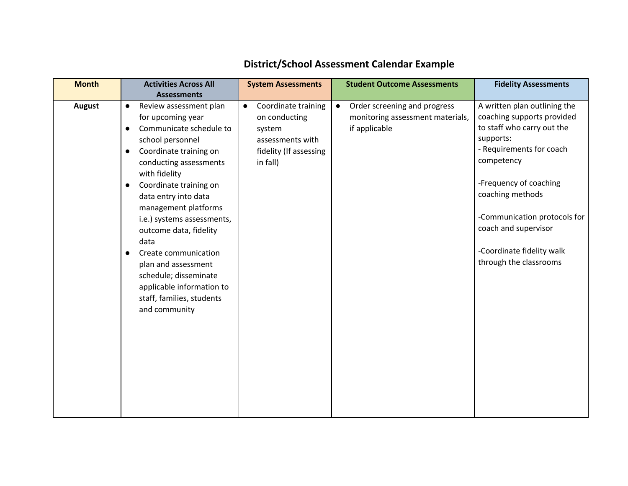| <b>Month</b>  |           | <b>Activities Across All</b> | <b>System Assessments</b>        |           | <b>Student Outcome Assessments</b> | <b>Fidelity Assessments</b>  |
|---------------|-----------|------------------------------|----------------------------------|-----------|------------------------------------|------------------------------|
|               |           | <b>Assessments</b>           |                                  |           |                                    |                              |
| <b>August</b> | $\bullet$ | Review assessment plan       | Coordinate training<br>$\bullet$ | $\bullet$ | Order screening and progress       | A written plan outlining the |
|               |           | for upcoming year            | on conducting                    |           | monitoring assessment materials,   | coaching supports provided   |
|               | $\bullet$ | Communicate schedule to      | system                           |           | if applicable                      | to staff who carry out the   |
|               |           | school personnel             | assessments with                 |           |                                    | supports:                    |
|               | $\bullet$ | Coordinate training on       | fidelity (If assessing           |           |                                    | - Requirements for coach     |
|               |           | conducting assessments       | in fall)                         |           |                                    | competency                   |
|               |           | with fidelity                |                                  |           |                                    |                              |
|               | $\bullet$ | Coordinate training on       |                                  |           |                                    | -Frequency of coaching       |
|               |           | data entry into data         |                                  |           |                                    | coaching methods             |
|               |           | management platforms         |                                  |           |                                    |                              |
|               |           | i.e.) systems assessments,   |                                  |           |                                    | -Communication protocols for |
|               |           | outcome data, fidelity       |                                  |           |                                    | coach and supervisor         |
|               |           | data                         |                                  |           |                                    |                              |
|               |           | Create communication         |                                  |           |                                    | -Coordinate fidelity walk    |
|               |           | plan and assessment          |                                  |           |                                    | through the classrooms       |
|               |           | schedule; disseminate        |                                  |           |                                    |                              |
|               |           | applicable information to    |                                  |           |                                    |                              |
|               |           | staff, families, students    |                                  |           |                                    |                              |
|               |           | and community                |                                  |           |                                    |                              |
|               |           |                              |                                  |           |                                    |                              |
|               |           |                              |                                  |           |                                    |                              |
|               |           |                              |                                  |           |                                    |                              |
|               |           |                              |                                  |           |                                    |                              |
|               |           |                              |                                  |           |                                    |                              |
|               |           |                              |                                  |           |                                    |                              |
|               |           |                              |                                  |           |                                    |                              |
|               |           |                              |                                  |           |                                    |                              |
|               |           |                              |                                  |           |                                    |                              |

## **District/School Assessment Calendar Example**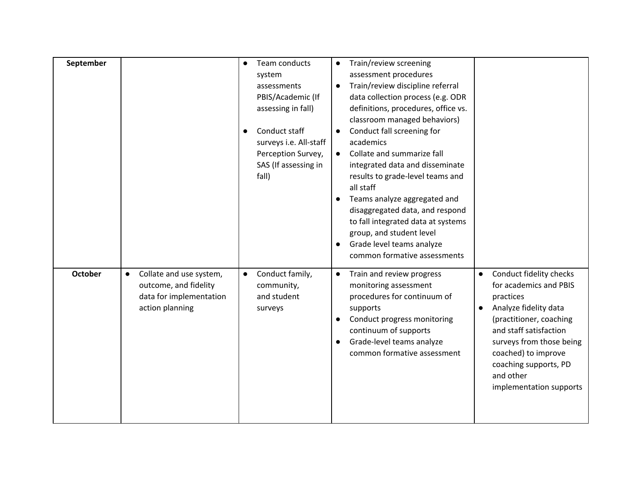| September      |                                                                                                             | Team conducts<br>system<br>assessments<br>PBIS/Academic (If<br>assessing in fall)              | Train/review screening<br>$\bullet$<br>assessment procedures<br>Train/review discipline referral<br>data collection process (e.g. ODR<br>definitions, procedures, office vs.<br>classroom managed behaviors)                                |                                                                                                                                                                                                                                                                                            |
|----------------|-------------------------------------------------------------------------------------------------------------|------------------------------------------------------------------------------------------------|---------------------------------------------------------------------------------------------------------------------------------------------------------------------------------------------------------------------------------------------|--------------------------------------------------------------------------------------------------------------------------------------------------------------------------------------------------------------------------------------------------------------------------------------------|
|                |                                                                                                             | Conduct staff<br>surveys i.e. All-staff<br>Perception Survey,<br>SAS (If assessing in<br>fall) | Conduct fall screening for<br>$\bullet$<br>academics<br>Collate and summarize fall<br>$\bullet$<br>integrated data and disseminate<br>results to grade-level teams and<br>all staff                                                         |                                                                                                                                                                                                                                                                                            |
|                |                                                                                                             |                                                                                                | Teams analyze aggregated and<br>disaggregated data, and respond<br>to fall integrated data at systems<br>group, and student level<br>Grade level teams analyze<br>$\bullet$<br>common formative assessments                                 |                                                                                                                                                                                                                                                                                            |
| <b>October</b> | Collate and use system,<br>$\bullet$<br>outcome, and fidelity<br>data for implementation<br>action planning | Conduct family,<br>$\bullet$<br>community,<br>and student<br>surveys                           | Train and review progress<br>$\bullet$<br>monitoring assessment<br>procedures for continuum of<br>supports<br>Conduct progress monitoring<br>continuum of supports<br>Grade-level teams analyze<br>$\bullet$<br>common formative assessment | Conduct fidelity checks<br>$\bullet$<br>for academics and PBIS<br>practices<br>Analyze fidelity data<br>$\bullet$<br>(practitioner, coaching<br>and staff satisfaction<br>surveys from those being<br>coached) to improve<br>coaching supports, PD<br>and other<br>implementation supports |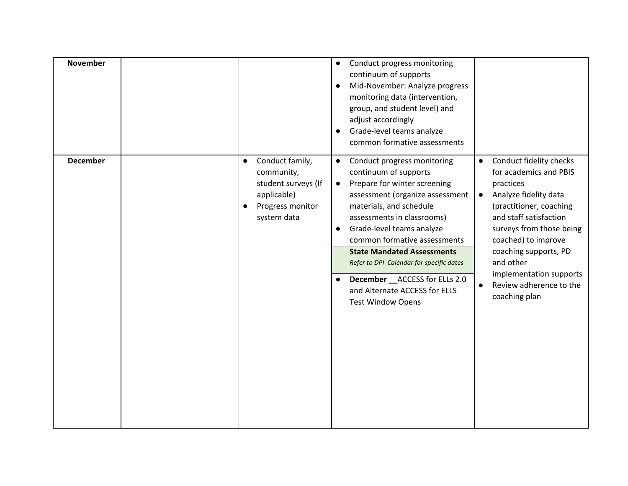| <b>November</b> |                                                                                                                     | Conduct progress monitoring<br>$\bullet$<br>continuum of supports<br>Mid-November: Analyze progress<br>$\bullet$<br>monitoring data (intervention,<br>group, and student level) and<br>adjust accordingly<br>Grade-level teams analyze<br>$\bullet$<br>common formative assessments                                                                                                                                                                                   |                                                                                                                                                                                                                                                                                                                                        |
|-----------------|---------------------------------------------------------------------------------------------------------------------|-----------------------------------------------------------------------------------------------------------------------------------------------------------------------------------------------------------------------------------------------------------------------------------------------------------------------------------------------------------------------------------------------------------------------------------------------------------------------|----------------------------------------------------------------------------------------------------------------------------------------------------------------------------------------------------------------------------------------------------------------------------------------------------------------------------------------|
| <b>December</b> | Conduct family,<br>$\bullet$<br>community,<br>student surveys (If<br>applicable)<br>Progress monitor<br>system data | Conduct progress monitoring<br>$\bullet$<br>continuum of supports<br>Prepare for winter screening<br>$\bullet$<br>assessment (organize assessment<br>materials, and schedule<br>assessments in classrooms)<br>Grade-level teams analyze<br>$\bullet$<br>common formative assessments<br><b>State Mandated Assessments</b><br>Refer to DPI Calendar for specific dates<br>December __ ACCESS for ELLs 2.0<br>and Alternate ACCESS for ELLS<br><b>Test Window Opens</b> | Conduct fidelity checks<br>for academics and PBIS<br>practices<br>Analyze fidelity data<br>$\bullet$<br>(practitioner, coaching<br>and staff satisfaction<br>surveys from those being<br>coached) to improve<br>coaching supports, PD<br>and other<br>implementation supports<br>Review adherence to the<br>$\bullet$<br>coaching plan |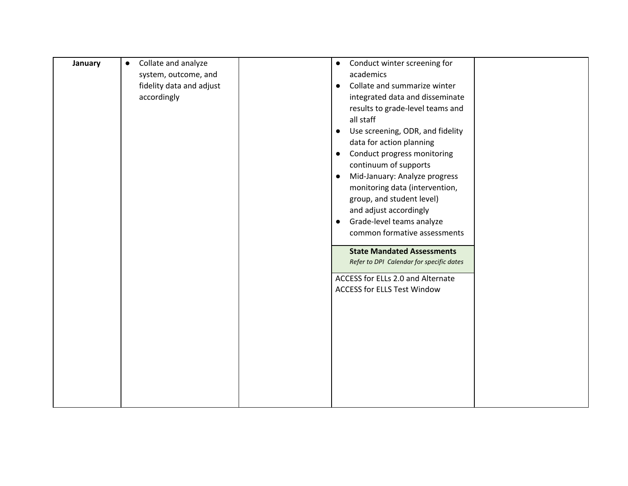| January | Collate and analyze<br>$\bullet$ | Conduct winter screening for<br>$\bullet$     |
|---------|----------------------------------|-----------------------------------------------|
|         | system, outcome, and             | academics                                     |
|         | fidelity data and adjust         | Collate and summarize winter<br>$\bullet$     |
|         | accordingly                      | integrated data and disseminate               |
|         |                                  | results to grade-level teams and              |
|         |                                  | all staff                                     |
|         |                                  | Use screening, ODR, and fidelity<br>$\bullet$ |
|         |                                  | data for action planning                      |
|         |                                  | Conduct progress monitoring<br>$\bullet$      |
|         |                                  | continuum of supports                         |
|         |                                  | Mid-January: Analyze progress                 |
|         |                                  | $\bullet$                                     |
|         |                                  | monitoring data (intervention,                |
|         |                                  | group, and student level)                     |
|         |                                  | and adjust accordingly                        |
|         |                                  | Grade-level teams analyze<br>$\bullet$        |
|         |                                  | common formative assessments                  |
|         |                                  | <b>State Mandated Assessments</b>             |
|         |                                  |                                               |
|         |                                  | Refer to DPI Calendar for specific dates      |
|         |                                  | ACCESS for ELLs 2.0 and Alternate             |
|         |                                  | <b>ACCESS for ELLS Test Window</b>            |
|         |                                  |                                               |
|         |                                  |                                               |
|         |                                  |                                               |
|         |                                  |                                               |
|         |                                  |                                               |
|         |                                  |                                               |
|         |                                  |                                               |
|         |                                  |                                               |
|         |                                  |                                               |
|         |                                  |                                               |
|         |                                  |                                               |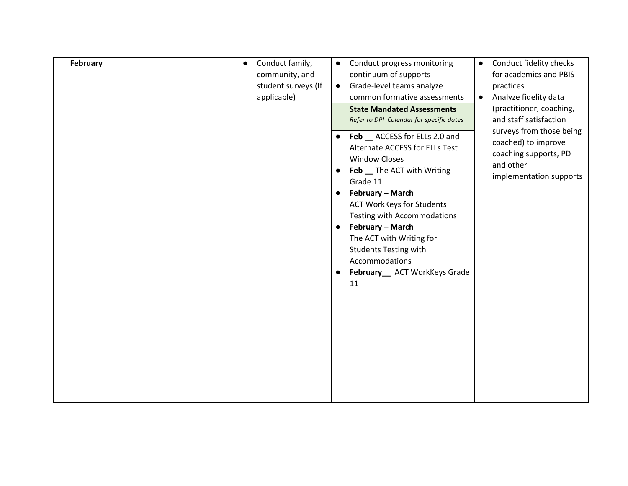| February | Conduct family,<br>$\bullet$<br>community, and<br>student surveys (If<br>applicable) | Conduct progress monitoring<br>$\bullet$<br>continuum of supports<br>Grade-level teams analyze<br>$\bullet$<br>common formative assessments<br><b>State Mandated Assessments</b><br>Refer to DPI Calendar for specific dates<br>Feb __ ACCESS for ELLs 2.0 and<br>$\bullet$<br>Alternate ACCESS for ELLs Test<br><b>Window Closes</b><br>Feb _ The ACT with Writing<br>Grade 11<br>February - March<br>$\bullet$<br><b>ACT WorkKeys for Students</b><br>Testing with Accommodations | Conduct fidelity checks<br>$\bullet$<br>for academics and PBIS<br>practices<br>Analyze fidelity data<br>$\bullet$<br>(practitioner, coaching,<br>and staff satisfaction<br>surveys from those being<br>coached) to improve<br>coaching supports, PD<br>and other<br>implementation supports |
|----------|--------------------------------------------------------------------------------------|-------------------------------------------------------------------------------------------------------------------------------------------------------------------------------------------------------------------------------------------------------------------------------------------------------------------------------------------------------------------------------------------------------------------------------------------------------------------------------------|---------------------------------------------------------------------------------------------------------------------------------------------------------------------------------------------------------------------------------------------------------------------------------------------|
|          |                                                                                      | February - March<br>$\bullet$<br>The ACT with Writing for<br><b>Students Testing with</b><br>Accommodations<br>February_ ACT WorkKeys Grade<br>$\bullet$<br>11                                                                                                                                                                                                                                                                                                                      |                                                                                                                                                                                                                                                                                             |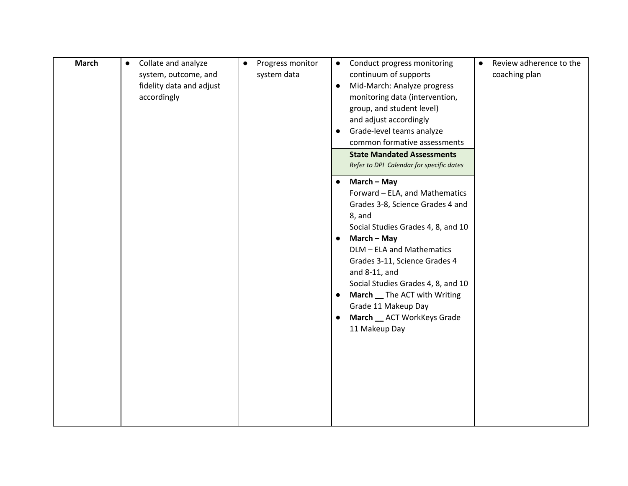| <b>March</b> | Collate and analyze<br>$\bullet$<br>system, outcome, and<br>fidelity data and adjust<br>accordingly | Progress monitor<br>$\bullet$<br>system data | Conduct progress monitoring<br>$\bullet$<br>continuum of supports<br>Mid-March: Analyze progress<br>$\bullet$<br>monitoring data (intervention,<br>group, and student level)<br>and adjust accordingly<br>Grade-level teams analyze<br>$\bullet$<br>common formative assessments<br><b>State Mandated Assessments</b>                                                                                                           | Review adherence to the<br>$\bullet$<br>coaching plan |
|--------------|-----------------------------------------------------------------------------------------------------|----------------------------------------------|---------------------------------------------------------------------------------------------------------------------------------------------------------------------------------------------------------------------------------------------------------------------------------------------------------------------------------------------------------------------------------------------------------------------------------|-------------------------------------------------------|
|              |                                                                                                     |                                              | Refer to DPI Calendar for specific dates                                                                                                                                                                                                                                                                                                                                                                                        |                                                       |
|              |                                                                                                     |                                              | March - May<br>$\bullet$<br>Forward - ELA, and Mathematics<br>Grades 3-8, Science Grades 4 and<br>8, and<br>Social Studies Grades 4, 8, and 10<br>March - May<br>$\bullet$<br>DLM - ELA and Mathematics<br>Grades 3-11, Science Grades 4<br>and 8-11, and<br>Social Studies Grades 4, 8, and 10<br>March _ The ACT with Writing<br>$\bullet$<br>Grade 11 Makeup Day<br>March _ ACT WorkKeys Grade<br>$\bullet$<br>11 Makeup Day |                                                       |
|              |                                                                                                     |                                              |                                                                                                                                                                                                                                                                                                                                                                                                                                 |                                                       |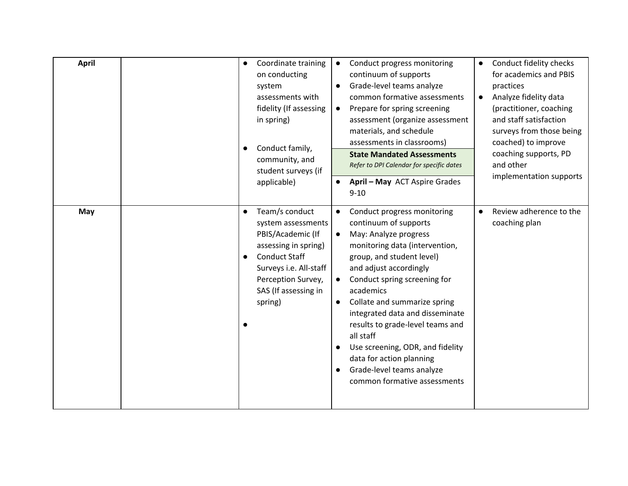| <b>April</b> | Coordinate training<br>$\bullet$<br>on conducting<br>system<br>assessments with<br>fidelity (If assessing<br>in spring)<br>Conduct family,<br>community, and<br>student surveys (if<br>applicable)                     | Conduct progress monitoring<br>$\bullet$<br>continuum of supports<br>Grade-level teams analyze<br>$\bullet$<br>common formative assessments<br>Prepare for spring screening<br>$\bullet$<br>assessment (organize assessment<br>materials, and schedule<br>assessments in classrooms)<br><b>State Mandated Assessments</b><br>Refer to DPI Calendar for specific dates<br>April - May ACT Aspire Grades<br>$9 - 10$                                                                                                       | Conduct fidelity checks<br>$\bullet$<br>for academics and PBIS<br>practices<br>Analyze fidelity data<br>(practitioner, coaching<br>and staff satisfaction<br>surveys from those being<br>coached) to improve<br>coaching supports, PD<br>and other<br>implementation supports |
|--------------|------------------------------------------------------------------------------------------------------------------------------------------------------------------------------------------------------------------------|--------------------------------------------------------------------------------------------------------------------------------------------------------------------------------------------------------------------------------------------------------------------------------------------------------------------------------------------------------------------------------------------------------------------------------------------------------------------------------------------------------------------------|-------------------------------------------------------------------------------------------------------------------------------------------------------------------------------------------------------------------------------------------------------------------------------|
| May          | Team/s conduct<br>$\bullet$<br>system assessments<br>PBIS/Academic (If<br>assessing in spring)<br><b>Conduct Staff</b><br>$\bullet$<br>Surveys i.e. All-staff<br>Perception Survey,<br>SAS (If assessing in<br>spring) | Conduct progress monitoring<br>continuum of supports<br>May: Analyze progress<br>$\bullet$<br>monitoring data (intervention,<br>group, and student level)<br>and adjust accordingly<br>Conduct spring screening for<br>$\bullet$<br>academics<br>Collate and summarize spring<br>$\bullet$<br>integrated data and disseminate<br>results to grade-level teams and<br>all staff<br>Use screening, ODR, and fidelity<br>data for action planning<br>Grade-level teams analyze<br>$\bullet$<br>common formative assessments | Review adherence to the<br>coaching plan                                                                                                                                                                                                                                      |